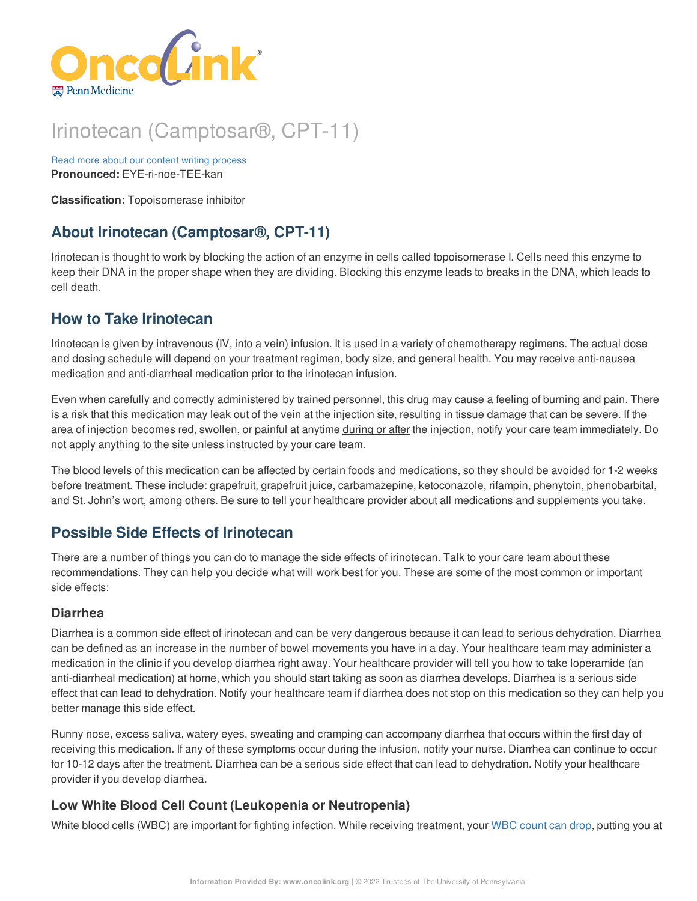

# Irinotecan (Camptosar®, CPT-11)

Read more about our content writing [process](https://www.oncolink.org/chemo-printer/20949?theme=oncolink/about/content) **Pronounced:** EYE-ri-noe-TEE-kan

**Classification:** Topoisomerase inhibitor

# **About Irinotecan (Camptosar®, CPT-11)**

Irinotecan is thought to work by blocking the action of an enzyme in cells called topoisomerase I. Cells need this enzyme to keep their DNA in the proper shape when they are dividing. Blocking this enzyme leads to breaks in the DNA, which leads to cell death.

# **How to Take Irinotecan**

Irinotecan is given by intravenous (IV, into a vein) infusion. It is used in a variety of chemotherapy regimens. The actual dose and dosing schedule will depend on your treatment regimen, body size, and general health. You may receive anti-nausea medication and anti-diarrheal medication prior to the irinotecan infusion.

Even when carefully and correctly administered by trained personnel, this drug may cause a feeling of burning and pain. There is a risk that this medication may leak out of the vein at the injection site, resulting in tissue damage that can be severe. If the area of injection becomes red, swollen, or painful at anytime during or after the injection, notify your care team immediately. Do not apply anything to the site unless instructed by your care team.

The blood levels of this medication can be affected by certain foods and medications, so they should be avoided for 1-2 weeks before treatment. These include: grapefruit, grapefruit juice, carbamazepine, ketoconazole, rifampin, phenytoin, phenobarbital, and St. John's wort, among others. Be sure to tell your healthcare provider about all medications and supplements you take.

# **Possible Side Effects of Irinotecan**

There are a number of things you can do to manage the side effects of irinotecan. Talk to your care team about these recommendations. They can help you decide what will work best for you. These are some of the most common or important side effects:

### **Diarrhea**

Diarrhea is a common side effect of irinotecan and can be very dangerous because it can lead to serious dehydration. Diarrhea can be defined as an increase in the number of bowel movements you have in a day. Your healthcare team may administer a medication in the clinic if you develop diarrhea right away. Your healthcare provider will tell you how to take loperamide (an anti-diarrheal medication) at home, which you should start taking as soon as diarrhea develops. Diarrhea is a serious side effect that can lead to dehydration. Notify your healthcare team if diarrhea does not stop on this medication so they can help you better manage this side effect.

Runny nose, excess saliva, watery eyes, sweating and cramping can accompany diarrhea that occurs within the first day of receiving this medication. If any of these symptoms occur during the infusion, notify your nurse. Diarrhea can continue to occur for 10-12 days after the treatment. Diarrhea can be a serious side effect that can lead to dehydration. Notify your healthcare provider if you develop diarrhea.

## **Low White Blood Cell Count (Leukopenia or Neutropenia)**

White blood cells (WBC) are important for fighting infection. While receiving treatment, your WBC [count](https://www.oncolink.org/chemo-printer/20949?theme=oncolink/support/side-effects/low-blood-counts/neutropenia) can drop, putting you at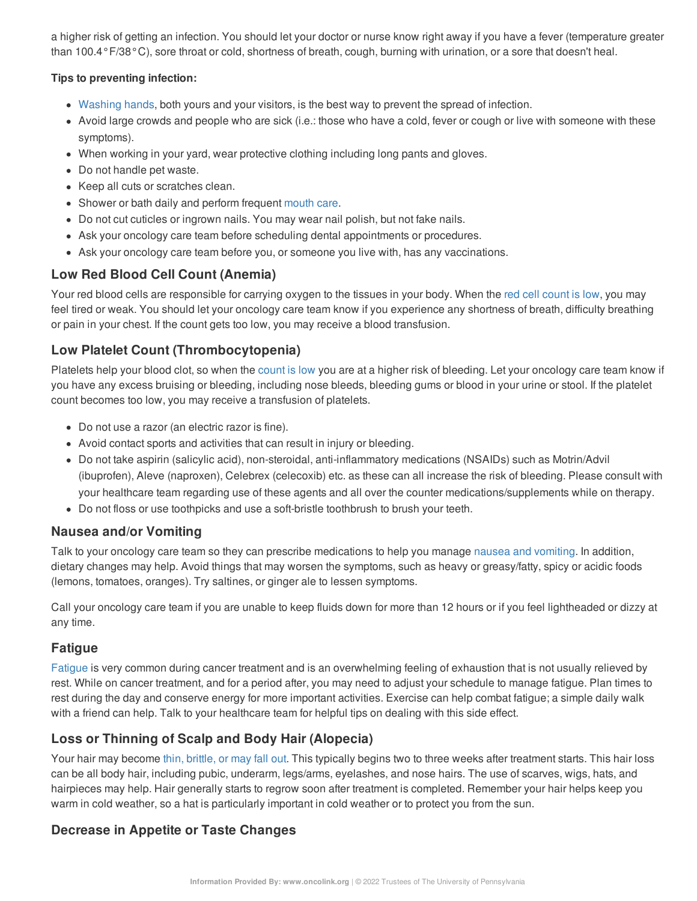a higher risk of getting an infection. You should let your doctor or nurse know right away if you have a fever (temperature greater than 100.4°F/38°C), sore throat or cold, shortness of breath, cough, burning with urination, or a sore that doesn't heal.

#### **Tips to preventing infection:**

- [Washing](https://www.oncolink.org/chemo-printer/20949?theme=oncolink/cancer-treatment/hospital-helpers/hand-hygiene-hand-washing) hands, both yours and your visitors, is the best way to prevent the spread of infection.
- Avoid large crowds and people who are sick (i.e.: those who have a cold, fever or cough or live with someone with these symptoms).
- When working in your yard, wear protective clothing including long pants and gloves.
- Do not handle pet waste.
- Keep all cuts or scratches clean.
- Shower or bath daily and perform frequent [mouth](https://www.oncolink.org/chemo-printer/20949?theme=oncolink/support/side-effects/gastrointestinal-side-effects/mucositis/mucositis-mouth-sores-oral-care-tip-sheet) care.
- Do not cut cuticles or ingrown nails. You may wear nail polish, but not fake nails.
- Ask your oncology care team before scheduling dental appointments or procedures.
- Ask your oncology care team before you, or someone you live with, has any vaccinations.

### **Low Red Blood Cell Count (Anemia)**

Your red blood cells are responsible for carrying oxygen to the tissues in your body. When the red cell [count](https://www.oncolink.org/chemo-printer/20949?theme=oncolink/support/side-effects/low-blood-counts/low-red-blood-cell-count-anemia) is low, you may feel tired or weak. You should let your oncology care team know if you experience any shortness of breath, difficulty breathing or pain in your chest. If the count gets too low, you may receive a blood transfusion.

### **Low Platelet Count (Thrombocytopenia)**

Platelets help your blood clot, so when the [count](https://www.oncolink.org/chemo-printer/20949?theme=oncolink/support/side-effects/low-blood-counts/low-platelet-count-thrombocytopenia) is low you are at a higher risk of bleeding. Let your oncology care team know if you have any excess bruising or bleeding, including nose bleeds, bleeding gums or blood in your urine or stool. If the platelet count becomes too low, you may receive a transfusion of platelets.

- Do not use a razor (an electric razor is fine).
- Avoid contact sports and activities that can result in injury or bleeding.
- Do not take aspirin (salicylic acid), non-steroidal, anti-inflammatory medications (NSAIDs) such as Motrin/Advil (ibuprofen), Aleve (naproxen), Celebrex (celecoxib) etc. as these can all increase the risk of bleeding. Please consult with your healthcare team regarding use of these agents and all over the counter medications/supplements while on therapy.
- Do not floss or use toothpicks and use a soft-bristle toothbrush to brush your teeth.

### **Nausea and/or Vomiting**

Talk to your oncology care team so they can prescribe medications to help you manage nausea and [vomiting](https://www.oncolink.org/chemo-printer/20949?theme=oncolink/support/side-effects/gastrointestinal-side-effects/nausea-and-vomiting). In addition, dietary changes may help. Avoid things that may worsen the symptoms, such as heavy or greasy/fatty, spicy or acidic foods (lemons, tomatoes, oranges). Try saltines, or ginger ale to lessen symptoms.

Call your oncology care team if you are unable to keep fluids down for more than 12 hours or if you feel lightheaded or dizzy at any time.

### **Fatigue**

[Fatigue](https://www.oncolink.org/chemo-printer/20949?theme=oncolink/support/side-effects/other-side-effects/fatigue-and-cancer/managing-fatigue) is very common during cancer treatment and is an overwhelming feeling of exhaustion that is not usually relieved by rest. While on cancer treatment, and for a period after, you may need to adjust your schedule to manage fatigue. Plan times to rest during the day and conserve energy for more important activities. Exercise can help combat fatigue; a simple daily walk with a friend can help. Talk to your healthcare team for helpful tips on dealing with this side effect.

## **Loss or Thinning of Scalp and Body Hair (Alopecia)**

Your hair may become thin, [brittle,](https://www.oncolink.org/chemo-printer/20949?theme=oncolink/support/side-effects/skin-hair-nail-side-effects/hair-loss-alopecia-from-chemotherapy) or may fall out. This typically begins two to three weeks after treatment starts. This hair loss can be all body hair, including pubic, underarm, legs/arms, eyelashes, and nose hairs. The use of scarves, wigs, hats, and hairpieces may help. Hair generally starts to regrow soon after treatment is completed. Remember your hair helps keep you warm in cold weather, so a hat is particularly important in cold weather or to protect you from the sun.

### **Decrease in Appetite or Taste Changes**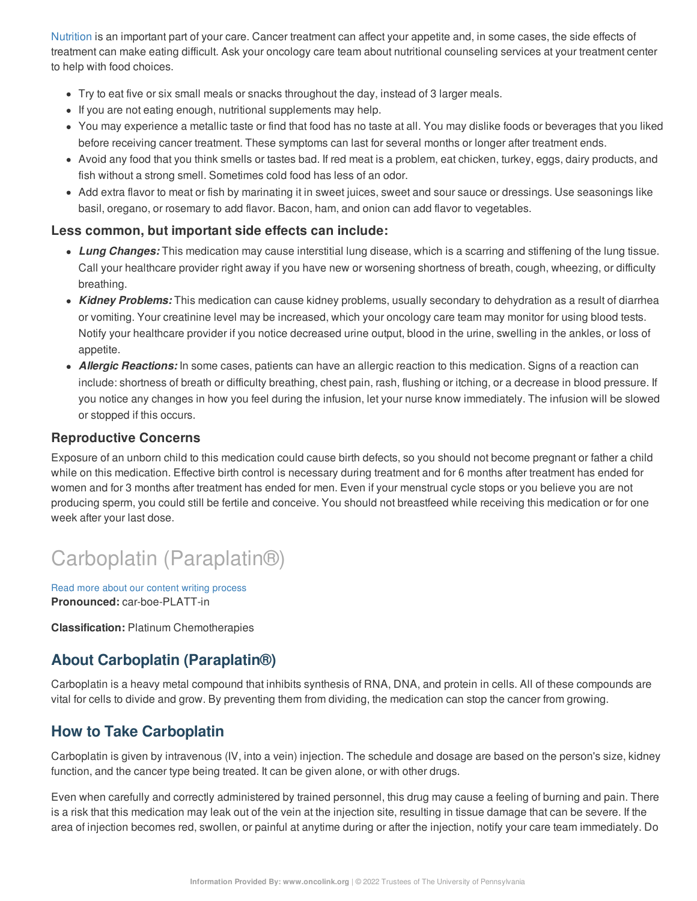[Nutrition](https://www.oncolink.org/chemo-printer/20949?theme=oncolink/support/nutrition-and-cancer/during-and-after-treatment/nutrition-during-cancer-treatment) is an important part of your care. Cancer treatment can affect your appetite and, in some cases, the side effects of treatment can make eating difficult. Ask your oncology care team about nutritional counseling services at your treatment center to help with food choices.

- Try to eat five or six small meals or snacks throughout the day, instead of 3 larger meals.
- If you are not eating enough, nutritional supplements may help.
- You may experience a metallic taste or find that food has no taste at all. You may dislike foods or beverages that you liked before receiving cancer treatment. These symptoms can last for several months or longer after treatment ends.
- Avoid any food that you think smells or tastes bad. If red meat is a problem, eat chicken, turkey, eggs, dairy products, and fish without a strong smell. Sometimes cold food has less of an odor.
- Add extra flavor to meat or fish by marinating it in sweet juices, sweet and sour sauce or dressings. Use seasonings like basil, oregano, or rosemary to add flavor. Bacon, ham, and onion can add flavor to vegetables.

### **Less common, but important side effects can include:**

- *Lung Changes:* This medication may cause interstitial lung disease, which is a scarring and stiffening of the lung tissue. Call your healthcare provider right away if you have new or worsening shortness of breath, cough, wheezing, or difficulty breathing.
- *Kidney Problems:* This medication can cause kidney problems, usually secondary to dehydration as a result of diarrhea or vomiting. Your creatinine level may be increased, which your oncology care team may monitor for using blood tests. Notify your healthcare provider if you notice decreased urine output, blood in the urine, swelling in the ankles, or loss of appetite.
- *Allergic Reactions:* In some cases, patients can have an allergic reaction to this medication. Signs of a reaction can include: shortness of breath or difficulty breathing, chest pain, rash, flushing or itching, or a decrease in blood pressure. If you notice any changes in how you feel during the infusion, let your nurse know immediately. The infusion will be slowed or stopped if this occurs.

### **Reproductive Concerns**

Exposure of an unborn child to this medication could cause birth defects, so you should not become pregnant or father a child while on this medication. Effective birth control is necessary during treatment and for 6 months after treatment has ended for women and for 3 months after treatment has ended for men. Even if your menstrual cycle stops or you believe you are not producing sperm, you could still be fertile and conceive. You should not breastfeed while receiving this medication or for one week after your last dose.

# Carboplatin (Paraplatin®)

Read more about our content writing [process](https://www.oncolink.org/chemo-printer/20949?theme=oncolink/about/content) **Pronounced:** car-boe-PLATT-in

**Classification:** Platinum Chemotherapies

# **About Carboplatin (Paraplatin®)**

Carboplatin is a heavy metal compound that inhibits synthesis of RNA, DNA, and protein in cells. All of these compounds are vital for cells to divide and grow. By preventing them from dividing, the medication can stop the cancer from growing.

# **How to Take Carboplatin**

Carboplatin is given by intravenous (IV, into a vein) injection. The schedule and dosage are based on the person's size, kidney function, and the cancer type being treated. It can be given alone, or with other drugs.

Even when carefully and correctly administered by trained personnel, this drug may cause a feeling of burning and pain. There is a risk that this medication may leak out of the vein at the injection site, resulting in tissue damage that can be severe. If the area of injection becomes red, swollen, or painful at anytime during or after the injection, notify your care team immediately. Do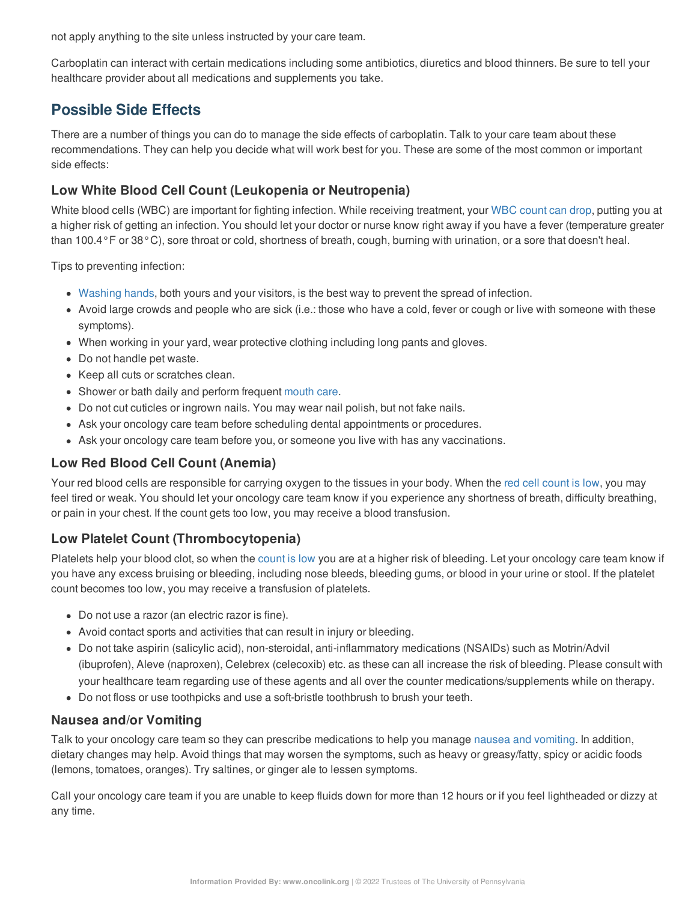not apply anything to the site unless instructed by your care team.

Carboplatin can interact with certain medications including some antibiotics, diuretics and blood thinners. Be sure to tell your healthcare provider about all medications and supplements you take.

# **Possible Side Effects**

There are a number of things you can do to manage the side effects of carboplatin. Talk to your care team about these recommendations. They can help you decide what will work best for you. These are some of the most common or important side effects:

## **Low White Blood Cell Count (Leukopenia or Neutropenia)**

White blood cells (WBC) are important for fighting infection. While receiving treatment, your WBC [count](https://www.oncolink.org/chemo-printer/20949?theme=oncolink/support/side-effects/low-blood-counts/neutropenia) can drop, putting you at a higher risk of getting an infection. You should let your doctor or nurse know right away if you have a fever (temperature greater than 100.4°F or 38°C), sore throat or cold, shortness of breath, cough, burning with urination, or a sore that doesn't heal.

Tips to preventing infection:

- [Washing](https://www.oncolink.org/chemo-printer/20949?theme=oncolink/cancer-treatment/hospital-helpers/hand-hygiene-hand-washing) hands, both yours and your visitors, is the best way to prevent the spread of infection.
- Avoid large crowds and people who are sick (i.e.: those who have a cold, fever or cough or live with someone with these symptoms).
- When working in your yard, wear protective clothing including long pants and gloves.
- Do not handle pet waste.
- Keep all cuts or scratches clean.
- Shower or bath daily and perform frequent [mouth](https://www.oncolink.org/chemo-printer/20949?theme=oncolink/support/side-effects/gastrointestinal-side-effects/mucositis/mucositis-mouth-sores-oral-care-tip-sheet) care.
- Do not cut cuticles or ingrown nails. You may wear nail polish, but not fake nails.
- Ask your oncology care team before scheduling dental appointments or procedures.
- Ask your oncology care team before you, or someone you live with has any vaccinations.

## **Low Red Blood Cell Count (Anemia)**

Your red blood cells are responsible for carrying oxygen to the tissues in your body. When the red cell [count](https://www.oncolink.org/chemo-printer/20949?theme=oncolink/support/side-effects/low-blood-counts/low-red-blood-cell-count-anemia) is low, you may feel tired or weak. You should let your oncology care team know if you experience any shortness of breath, difficulty breathing, or pain in your chest. If the count gets too low, you may receive a blood transfusion.

## **Low Platelet Count (Thrombocytopenia)**

Platelets help your blood clot, so when the [count](https://www.oncolink.org/chemo-printer/20949?theme=oncolink/support/side-effects/low-blood-counts/low-platelet-count-thrombocytopenia) is low you are at a higher risk of bleeding. Let your oncology care team know if you have any excess bruising or bleeding, including nose bleeds, bleeding gums, or blood in your urine or stool. If the platelet count becomes too low, you may receive a transfusion of platelets.

- Do not use a razor (an electric razor is fine).
- Avoid contact sports and activities that can result in injury or bleeding.
- Do not take aspirin (salicylic acid), non-steroidal, anti-inflammatory medications (NSAIDs) such as Motrin/Advil (ibuprofen), Aleve (naproxen), Celebrex (celecoxib) etc. as these can all increase the risk of bleeding. Please consult with your healthcare team regarding use of these agents and all over the counter medications/supplements while on therapy.
- Do not floss or use toothpicks and use a soft-bristle toothbrush to brush your teeth.

## **Nausea and/or Vomiting**

Talk to your oncology care team so they can prescribe medications to help you manage nausea and [vomiting](https://www.oncolink.org/chemo-printer/20949?theme=oncolink/support/side-effects/gastrointestinal-side-effects/nausea-and-vomiting). In addition, dietary changes may help. Avoid things that may worsen the symptoms, such as heavy or greasy/fatty, spicy or acidic foods (lemons, tomatoes, oranges). Try saltines, or ginger ale to lessen symptoms.

Call your oncology care team if you are unable to keep fluids down for more than 12 hours or if you feel lightheaded or dizzy at any time.